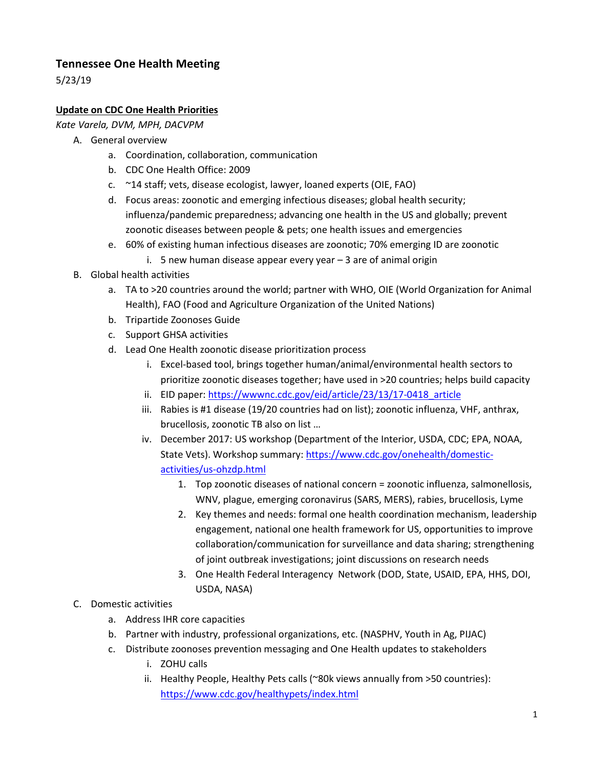# **Tennessee One Health Meeting**

5/23/19

## **Update on CDC One Health Priorities**

*Kate Varela, DVM, MPH, DACVPM*

- A. General overview
	- a. Coordination, collaboration, communication
	- b. CDC One Health Office: 2009
	- c. ~14 staff; vets, disease ecologist, lawyer, loaned experts (OIE, FAO)
	- d. Focus areas: zoonotic and emerging infectious diseases; global health security; influenza/pandemic preparedness; advancing one health in the US and globally; prevent zoonotic diseases between people & pets; one health issues and emergencies
	- e. 60% of existing human infectious diseases are zoonotic; 70% emerging ID are zoonotic
		- i. 5 new human disease appear every year 3 are of animal origin
- B. Global health activities
	- a. TA to >20 countries around the world; partner with WHO, OIE (World Organization for Animal Health), FAO (Food and Agriculture Organization of the United Nations)
	- b. Tripartide Zoonoses Guide
	- c. Support GHSA activities
	- d. Lead One Health zoonotic disease prioritization process
		- i. Excel-based tool, brings together human/animal/environmental health sectors to prioritize zoonotic diseases together; have used in >20 countries; helps build capacity
		- ii. EID paper[: https://wwwnc.cdc.gov/eid/article/23/13/17-0418\\_article](https://wwwnc.cdc.gov/eid/article/23/13/17-0418_article)
		- iii. Rabies is #1 disease (19/20 countries had on list); zoonotic influenza, VHF, anthrax, brucellosis, zoonotic TB also on list …
		- iv. December 2017: US workshop (Department of the Interior, USDA, CDC; EPA, NOAA, State Vets). Workshop summary: [https://www.cdc.gov/onehealth/domestic](https://www.cdc.gov/onehealth/domestic-activities/us-ohzdp.html)[activities/us-ohzdp.html](https://www.cdc.gov/onehealth/domestic-activities/us-ohzdp.html)
			- 1. Top zoonotic diseases of national concern = zoonotic influenza, salmonellosis, WNV, plague, emerging coronavirus (SARS, MERS), rabies, brucellosis, Lyme
			- 2. Key themes and needs: formal one health coordination mechanism, leadership engagement, national one health framework for US, opportunities to improve collaboration/communication for surveillance and data sharing; strengthening of joint outbreak investigations; joint discussions on research needs
			- 3. One Health Federal Interagency Network (DOD, State, USAID, EPA, HHS, DOI, USDA, NASA)
- C. Domestic activities
	- a. Address IHR core capacities
	- b. Partner with industry, professional organizations, etc. (NASPHV, Youth in Ag, PIJAC)
	- c. Distribute zoonoses prevention messaging and One Health updates to stakeholders
		- i. ZOHU calls
		- ii. Healthy People, Healthy Pets calls (~80k views annually from >50 countries): <https://www.cdc.gov/healthypets/index.html>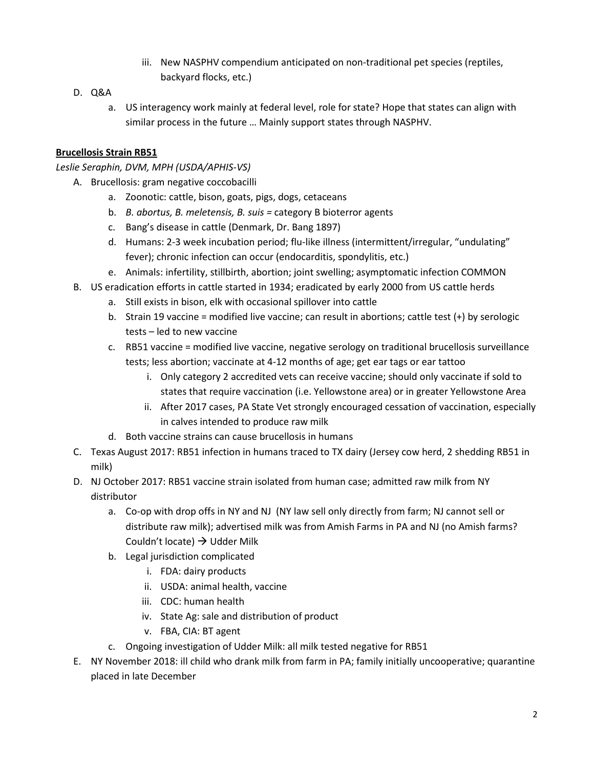- iii. New NASPHV compendium anticipated on non-traditional pet species (reptiles, backyard flocks, etc.)
- D. Q&A
	- a. US interagency work mainly at federal level, role for state? Hope that states can align with similar process in the future … Mainly support states through NASPHV.

### **Brucellosis Strain RB51**

#### *Leslie Seraphin, DVM, MPH (USDA/APHIS-VS)*

- A. Brucellosis: gram negative coccobacilli
	- a. Zoonotic: cattle, bison, goats, pigs, dogs, cetaceans
	- b. *B. abortus, B. meletensis, B. suis =* category B bioterror agents
	- c. Bang's disease in cattle (Denmark, Dr. Bang 1897)
	- d. Humans: 2-3 week incubation period; flu-like illness (intermittent/irregular, "undulating" fever); chronic infection can occur (endocarditis, spondylitis, etc.)
	- e. Animals: infertility, stillbirth, abortion; joint swelling; asymptomatic infection COMMON
- B. US eradication efforts in cattle started in 1934; eradicated by early 2000 from US cattle herds
	- a. Still exists in bison, elk with occasional spillover into cattle
	- b. Strain 19 vaccine = modified live vaccine; can result in abortions; cattle test (+) by serologic tests – led to new vaccine
	- c. RB51 vaccine = modified live vaccine, negative serology on traditional brucellosis surveillance tests; less abortion; vaccinate at 4-12 months of age; get ear tags or ear tattoo
		- i. Only category 2 accredited vets can receive vaccine; should only vaccinate if sold to states that require vaccination (i.e. Yellowstone area) or in greater Yellowstone Area
		- ii. After 2017 cases, PA State Vet strongly encouraged cessation of vaccination, especially in calves intended to produce raw milk
	- d. Both vaccine strains can cause brucellosis in humans
- C. Texas August 2017: RB51 infection in humans traced to TX dairy (Jersey cow herd, 2 shedding RB51 in milk)
- D. NJ October 2017: RB51 vaccine strain isolated from human case; admitted raw milk from NY distributor
	- a. Co-op with drop offs in NY and NJ (NY law sell only directly from farm; NJ cannot sell or distribute raw milk); advertised milk was from Amish Farms in PA and NJ (no Amish farms? Couldn't locate)  $\rightarrow$  Udder Milk
	- b. Legal jurisdiction complicated
		- i. FDA: dairy products
		- ii. USDA: animal health, vaccine
		- iii. CDC: human health
		- iv. State Ag: sale and distribution of product
		- v. FBA, CIA: BT agent
	- c. Ongoing investigation of Udder Milk: all milk tested negative for RB51
- E. NY November 2018: ill child who drank milk from farm in PA; family initially uncooperative; quarantine placed in late December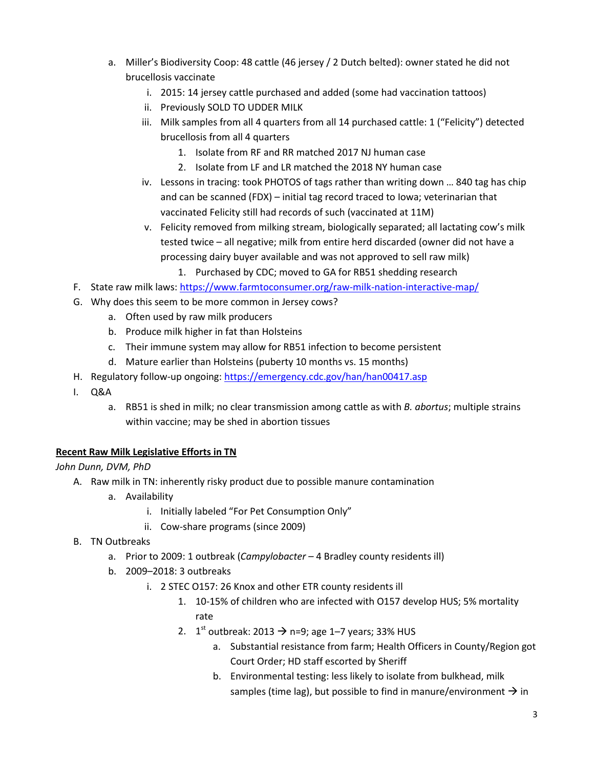- a. Miller's Biodiversity Coop: 48 cattle (46 jersey / 2 Dutch belted): owner stated he did not brucellosis vaccinate
	- i. 2015: 14 jersey cattle purchased and added (some had vaccination tattoos)
	- ii. Previously SOLD TO UDDER MILK
	- iii. Milk samples from all 4 quarters from all 14 purchased cattle: 1 ("Felicity") detected brucellosis from all 4 quarters
		- 1. Isolate from RF and RR matched 2017 NJ human case
		- 2. Isolate from LF and LR matched the 2018 NY human case
	- iv. Lessons in tracing: took PHOTOS of tags rather than writing down … 840 tag has chip and can be scanned (FDX) – initial tag record traced to Iowa; veterinarian that vaccinated Felicity still had records of such (vaccinated at 11M)
	- v. Felicity removed from milking stream, biologically separated; all lactating cow's milk tested twice – all negative; milk from entire herd discarded (owner did not have a processing dairy buyer available and was not approved to sell raw milk)
		- 1. Purchased by CDC; moved to GA for RB51 shedding research
- F. State raw milk laws:<https://www.farmtoconsumer.org/raw-milk-nation-interactive-map/>
- G. Why does this seem to be more common in Jersey cows?
	- a. Often used by raw milk producers
	- b. Produce milk higher in fat than Holsteins
	- c. Their immune system may allow for RB51 infection to become persistent
	- d. Mature earlier than Holsteins (puberty 10 months vs. 15 months)
- H. Regulatory follow-up ongoing:<https://emergency.cdc.gov/han/han00417.asp>
- I. Q&A
	- a. RB51 is shed in milk; no clear transmission among cattle as with *B. abortus*; multiple strains within vaccine; may be shed in abortion tissues

### **Recent Raw Milk Legislative Efforts in TN**

*John Dunn, DVM, PhD*

- A. Raw milk in TN: inherently risky product due to possible manure contamination
	- a. Availability
		- i. Initially labeled "For Pet Consumption Only"
		- ii. Cow-share programs (since 2009)
- B. TN Outbreaks
	- a. Prior to 2009: 1 outbreak (*Campylobacter –* 4 Bradley county residents ill)
	- b. 2009–2018: 3 outbreaks
		- i. 2 STEC O157: 26 Knox and other ETR county residents ill
			- 1. 10-15% of children who are infected with O157 develop HUS; 5% mortality rate
			- 2.  $1^{st}$  outbreak: 2013  $\rightarrow$  n=9; age 1–7 years; 33% HUS
				- a. Substantial resistance from farm; Health Officers in County/Region got Court Order; HD staff escorted by Sheriff
				- b. Environmental testing: less likely to isolate from bulkhead, milk samples (time lag), but possible to find in manure/environment  $\rightarrow$  in